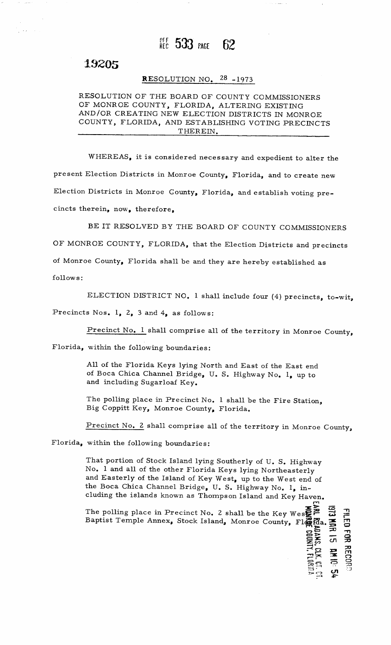### REC  $533$  page 62

# 19205

## **RESOLUTION NO.**  $28 - 1973$

# RESOLUTION OF THE<br>OF MONROE COUNTY<br>AND (OR GREATING **RESOLUTION**<br>OF THE BOARD OF MONROE COUNTY, FLORIDA, ALTERING EXISTING 10. <sup>28</sup> -1973<br>OF COUNTY COMMISSIONERS<br>DA, ALTERING EXISTING OF MONROE COUNTY, FLORIDA, ALTERING EXISTING<br>AND/OR CREATING NEW ELECTION DISTRICTS IN MONROE RESOLUTION OF THE BOARD OF COUNTY COMMISSIONERS<br>OF MONROE COUNTY, FLORIDA, ALTERING EXISTING<br>AND/OR CREATING NEW ELECTION DISTRICTS IN MONROE<br>COUNTY, FLORIDA, AND ESTABLISHING VOTING PRECINCTS<br>THEREIN. THEREIN. COUNTY, FLORIDA, AND ESTABLISHING VOTING PRECINCTS<br>THEREIN.<br>WHEREAS, it is considered necessary and expedient to alter the

present Election Districts in Monroe County, Florida, and to create new Election Districts in Monroe County, Florida, and establish voting precincts therein, now, therefore,

BE IT RESOLVED BY THE BOARD OF COUNTY COMMISSIONERS DE IT RESOLVED BT THE BOARD OF COUNTY COMMISSIONERS<br>OF MONROE COUNTY, FLORIDA, that the Election Districts and precincts OF MONROE COUNTY, FLORIDA, that the Election Districts and pre<br>of Monroe County, Florida shall be and they are hereby established as follows: of Monroe County, Florida shall be and they are hereby established as<br>follows:<br>ELECTION DISTRICT NO. 1 shall include four (4) precincts, to-wit,

Precincts Nos. 1, 2, 3 and  $4<sub>9</sub>$  as follows:

s Nos. 1, 2, 3 and 4, as follows:<br><u>Precinct No. 1</u> shall comprise all of the territory in Monroe County

Florida, within the following boundaries

All of the Florida Keys lying North and East of the East end<br>of Boca Chica Channel Bridge, U. S. Highway No. 1, up to<br>and including Sugarloaf Key. of Boca Chica Channel Bridge, U. S. Highway No. 1, up to and including Sugarloaf Key.

and including Sugarloaf Key.<br>The polling place in Precinct No. 1 shall be the Fire Station<br>Big Coppitt Key, Monroe County, Florida. Big Coppitt Key, Monroe County, Florida.<br>Precinct No. 2 shall comprise all of the territory in Monroe County<br>Florida, within the following boundaries:

within the following boundaries:<br>
That portion of Stock Island lying Southerly of U. S. Highway<br>
No. 1 and all of the other Florida Keys lying Northeasterly<br>
and Easterly of the Island of Key West, up to the West end of<br>
t No. 1 and all of the other Florida Keys lying Northeasterly and Easterly of the Island of Key West, up to the West end the Boca Chica Channel Bridge, U. S. Highway No. 1, inand Easterly of the Island of Key West, up to the West end of cluding the islands known as Thompson Island and Key Haven. That portion of Stock Island lying Southerly of U.S. Highway<br>
No. 1 and all of the other Florida Keys lying Northeasterly<br>
and Easterly of the Island of Key West, up to the West end of<br>
the Boca Chica Channel Bridge, U.S.

The polling place in Precinct No. 2 shall be the Key Wes $\sum_{n=1}^{\infty}$ 

 $\overline{a}$ RE IS RE<br>Key Wes in<br>O

OR RECOL

Baptist

 $\mathbf{A}$  $\bm{\omega}$ ı

 $\mathbf r$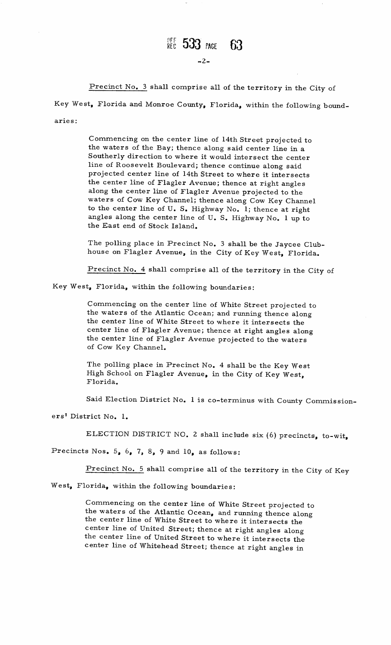### $R$ ec 533 page -63

 $-2-$ 

Precinct No. 3 shall comprise all of the territory in the City of Key West, Florida and Monroe County, Florida, within the following boundaries:

Commencing on the center line of 14th Street projected to<br>the waters of the Bay: thence along said center line in a Commencing on the center line of 14th Street projected the waters of the Bay; thence along said center line in a<br>Southerly direction to where it would intersect the send Commencing on the center line of 14th Street projected to<br>the waters of the Bay; thence along said center line in a<br>Southerly direction to where it would intersect the center<br>line of Roosevelt Boulevard; thence continue al the waters of the Bay; thence along said center line in a<br>Southerly direction to where it would intersect the center<br>line of Roosevelt Boulevard; thence continue along said Southerly direction to where it would intersect the center<br>line of Roosevelt Boulevard; thence continue along said<br>projected center line of 14th Street to where it intersects<br>the conter line of Elaglan Armuse the section i The of Roosevelt Boulevard; thence continue along said<br>projected center line of 14th Street to where it intersect<br>the center line of Flagler Avenue; thence at right angles the center line of Flagler Avenue; thence at right angles along the center line of Flagler Avenue projected to the the center line of Flagler Avenue; thence at right angles<br>along the center line of Flagler Avenue projected to the<br>waters of Cow Key Channel; thence along Cow Key Channel<br>to the center line of H. S. Highers N. (1) along the center line of Flagler Avenue projected to the<br>waters of Cow Key Channel; thence along Cow Key Channe<br>to the center line of U.S. Highway No. 1; thence at right<br>angles along the center line of U.S. Highway No. 1 u waters of Cow Key Channel; thence along Cow Key Channe<br>to the center line of U.S. Highway No. 1; thence at right<br>angles along the center line of U.S. Highway No. 1 up to<br>the East end of Stock Island. to the center line of U. S. I<br>angles along the center line<br>the East end of Stock Island

the East end of Stock Island.<br>The polling place in Precinct No. 3 shall be the Jaycee Club<br>house on Flagler Avenue, in the City of Key West, Florida. house on Flagler Avenue, in the City of Key West, Florida. The polling place in Precinct No. 3 shall be the Jaycee<br>house on Flagler Avenue, in the City of Key West, Flor<br>Precinct No. 4 shall comprise all of the territory in the

City of

Key West, Florida, within the following boundaries:

Precinct No. 4 shall comprise all of the territory in the Ci<br>
t, Florida, within the following boundaries:<br>
Commencing on the center line of White Street projected to<br>
the waters of the Atlantic Ocean; and running thence a the center line of White Street to where it intersects the center line of Flagler Avenue; thence at right angles along the center line of Flagler Avenue projected to the waters of Cow Key Channel. the center line of Flagler Avenue projected to the waters<br>of Cow Key Channel.<br>The polling place in Precinct No. 4 shall be the Key West<br>High School on Flagler Avenue, in the City of Key West

the center line of Flagler Avenue projected to the water<br>of Cow Key Channel.<br>The polling place in Precinct No. 4 shall be the Key We<br>High School on Flagler Avenue, in the City of Key West<br>Florida.

Florida.<br>
Said Election District No. 1 is co-terminus with County Commission-

ers<sup>†</sup> District No. 1.

ELECTION DISTRICT NO. 2 shall include six (6) precincts, to-wit,

ELECTION DISTRICT NO. 2 shall incl<br>Precincts Nos. 5, 6, 7, 8, 9 and 10, as follows Precincts Nos.  $5, 6, 7, 8, 9$  and  $10,$  as follow<br>
<u>Precinct No. 5</u> shall comprise all of t<br>
West, Florida, within the following boundaries

**2**Precinct No. 5 shall comprise all of the territory in the City of Key West, Florida, within the following boundaries:

Commencing on the center line of White Street projected to Commencing on the center line of White Street projected to<br>the waters of the Atlantic Ocean, and running thence along<br>the center line of White Street to where it intersects the<br>center line of United Street; thence at right the center line of White Street to where it intersects the center line of United Street; thence at right angles along communities of the Center line of White Street projected<br>the waters of the Atlantic Ocean, and running thence alo<br>the center line of United Street; thence at right angles along<br>the center line of United Street to where it the center line of United Street to where it intersects the center line of Whitehead Street; thence at right angles in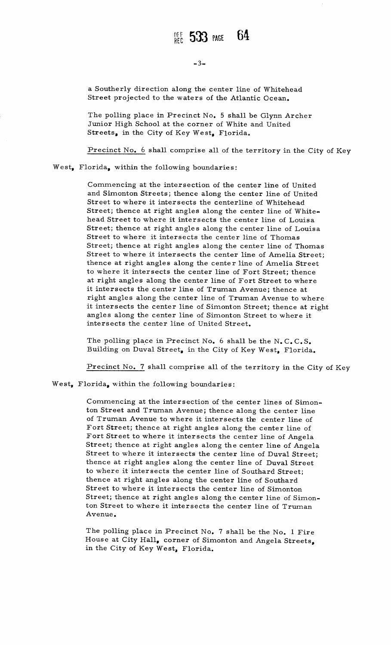a Southerly direction along the center line of Whitehead<br>Street projected to the waters of the Atlantic Ocean.

a Southerly direction along the center line of Whitehead<br>Street projected to the waters of the Atlantic Ocean.<br>The polling place in Precinct No. 5 shall be Glynn Archer<br>Junior High School at the corner of White and United<br> Junior High School at the corner of White and United<br>Streets, in the City of Key West, Florida.<br><u>Precinct No. 6</u> shall comprise all of the territory in the City of Key

West, Florida, within the following boundaries:

orida, within the following boundaries:<br>Commencing at the intersection of the center line of United<br>and Simenter Streets: theree along the center line of United Commencing at the intersection of the center line of United<br>and Simonton Streets; thence along the center line of United Precinct No. 6 shall comprise all of the territory in the City of 3<br>
orida, within the following boundaries:<br>
Commencing at the intersection of the center line of United<br>
and Simonton Streets; thence along the centerline o Street to where it intersects the centerline of Whitehead<br>Street; thence at right angles along the center line of White<br>head Street to where it intersects the center line of Louisa<br>Street: there established angles along th Street; thence at right angles along the center line of White-<br>head Street to where it intersects the center line of Louisa<br>Street; thence at right angles along the center line of Ilouisa<br>Street to where it intersects the head Street to where it intersects the center line of Lo<br>Street; thence at right angles along the center line of I<br>Street to where it intersects the center line of Thomas<br>Street: thence at might angles along the center li Street to where it intersects the center line of Thomas<br>Street; thence at right angles along the center line of Thomas Street to where it intersects the center line of Thomas<br>Street; thence at right angles along the center line of Thoma<br>Street to where it intersects the center line of Amelia Street<br>thence at right angles along the center l Street; thence at right angles along the center line of Thoma<br>Street to where it intersects the center line of Amelia Street<br>themeses it intersects the center line of Fout Street to the thence at right angles along the center line of Amelia Street to where it intersects the center line of Fort Street; thence thence at right angles along the center line of Amelia Stree<br>to where it intersects the center line of Fort Street; thence<br>at right angles along the center line of Fort Street to where to where it intersects the center line of Fort Street; then<br>at right angles along the center line of Fort Street to whe<br>it intersects the center line of Truman Avenue; thence at at right angles along the center line of Fort Street to where<br>it intersects the center line of Truman Avenue; thence at<br>right angles along the center line of Truman Avenue to where it intersects the center line of Truman Avenue; thence at<br>right angles along the center line of Truman Avenue to where<br>it intersects the center line of Simonton Street; thence at right<br>angles along the center line of Simon right angles along the center line of Truman Avenue to wh<br>it intersects the center line of Simonton Street; thence at<br>angles along the center line of Simonton Street to where it angles along the center line of Simonton Street to where it intersects the center line of United Street.

mersects the center line of United Street.<br>The polling place in Precinct No. 6 shall be the N.C.C.S.<br>Building on Duval Street, in the City of Key West, Florida

Building on Duval Street, in the City of Key West, Florida.<br>Precinct No. 7 shall comprise all of the territory in the City of Key

West, Florida, within the following boundaries:

Commencing at the intersection of the center lines of Simon-Commencing at the intersection of the center lines of Simon<br>ton Street and Truman Avenue; thence along the center line Commencing at the intersection of the center lines of Sime<br>ton Street and Truman Avenue; thence along the center line<br>of Truman Avenue to where it intersects the center line of Commencing at the intersection of the center lines of Sime<br>ton Street and Truman Avenue; thence along the center line<br>of Truman Avenue to where it intersects the center line of<br>Fort Street to where it intersects the center of Truman Avenue to where it intersects the center line of<br>Fort Street; thence at right angles along the center line of Angela<br>Street; thence at right angles along the center line of Angel<br>Street to where it intersects the of Truman Avenue to where it intersects the center line of Fort Street; thence at right angles along the center line of Angela Street; thence at right angles along the center line of Angela Street to where it intersects the center line of Duval Street;<br>thence at right angles along the center line of Duval Street Forebureer is where it intersects the center line of Algoritet; thence at right angles along the center line of Duval St.<br>Street to where it intersects the center line of Duval St.<br>thence at right angles along the center l to where it intersects the center line of Southard Streethence at right angles along the center line of Southard thence at right angles along the center line of Southard<br>Street to where it intersects the center line of Simonton inence at right angles along the center line of Duval Street<br>to where it intersects the center line of Southard<br>Street to where it intersects the center line of Simonton<br>Street; thence at right angles along the center line angles along the center line of Southard Street,<br>thence at right angles along the center line of Simonton<br>Street; thence at right angles along the center line of Simo<br>ton Street to where it intersects the center line of Tr ton Street to where it intersects the center line of Truman<br>Avenue.<br>The polling place in Precinct No. 7 shall be the No. 1 Fire<br>House at City Hall, corner of Simonton and Angela Streets

The polling place in Precinct No. 7 shall be the No. 1 Fire House at City Hall, corner of Simonton and Angela Streets, in the City of Key West, Florida.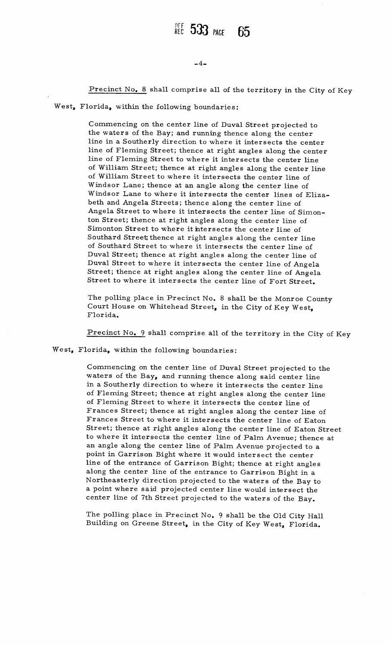### $-4-$

Precinct No. 8 shall comprise all of the territory in the City of Key

West, Florida, within the following boundaries:

Commencing on the center line of Duval Street projected to<br>the waters of the Bay; and running thence along the center<br>line in a Southerly direction to where it intersects the cent. the waters of the Bay; and running thence along the center<br>line in a Southerly direction to where it intersects the center line of Fleming Street; thence at right angles along the center line of Fleming Street to where it intersects the center line line of Fleming Street to where it intersects the center line<br>of William Street; thence at right angles along the center line<br>of William Street to where it intersects the center line of<br>Windson Lane: thence at an angle alo of William Street to where it intersects the center line of Windsor Lane; thence at an angle along the center line of of William Street, thence at right angles along the center line<br>of William Street to where it intersects the center line of<br>Windsor Lane to where it intersects the center lines of Eliza<br>heth and Angela Streets: thence alon Windsor Lane; thence at an angle along the center line<br>Windsor Lane to where it intersects the center lines of<br>beth and Angela Streets; thence along the center line of S<br>Angela Street to where it intersects the center line beth and Angela Streets; thence along the center line of Angela Street to where it intersects the center line of Simonbeth and Angela Streets; thence along the center line of<br>Angela Street to where it intersects the center line of Sir<br>ton Street; thence at right angles along the center line of<br>Simenter Street to all the line Angela Street to where it intersects the center line of S<br>ton Street; thence at right angles along the center line c<br>Simonton Street to where it intersects the center line of<br>Southand Street thence at right angles along th ton bireet, thence at right angles along the center line of<br>Simonton Street to where it intersects the center line of<br>Southard Street thence at right angles along the center line Simonton Street to where it intersects the center line of<br>Southard Street thence at right angles along the center line<br>of Southard Street to where it intersects the center line of<br>Duval Street: thence at right angles along of Southard Street to where it intersects the center line of<br>Duval Street; thence at right angles along the center line of<br>Duval Street to where it intersects the center line of Angela<br>Street: thence at right angles along Duval Street to where it intersects the center line of Angela<br>Street; thence at right angles along the center line of Angela<br>Street to where it intersects the center line of Fort Street.<br>The polling place in Precinct No. 8 Duval Street to where it intersects the center line of Ange<br>Street; thence at right angles along the center line of Ange<br>Street to where it intersects the center line of Fort Street

Street to where i<br>The polling place<br>Court House on V The polling place in Precinct No. 8 shall be the Monroe C<br>Court House on Whitehead Street, in the City of Key West<br>Eleride in Precinct No. 8 shall Court H<br>Florida The polling place in Precinct No. 8 shall be the Monroe County<br>Court House on Whitehead Street, in the City of Key West,<br>Florida.<br>Precinct No. 9 shall comprise all of the territory in the City of Key

Precinct No. 9 shall comprise all of the West, Florida, within the following boundaries

Commencing on the center line of Duval Street projected to the<br>waters of the Bay, and running thence along said center line<br>in a Southerly direction to where it intersects the express li riectic No. y shall comprise all of the territory in the City<br>orida, within the following boundaries:<br>Commencing on the center line of Duval Street projected to t<br>waters of the Bay, and running thence along said center lin orida, within the following boundaries:<br>Commencing on the center line of Duval Street projected to thencers of the Bay, and running thence along said center line<br>in a Southerly direction to where it intersects the center l of Fleming Street; thence at right angles along the center line<br>of Fleming Street to where it intersects the center line of<br>Frances Street; thence at right angles along the center line of Eaton<br>Street; thence at right angl frances Street; thence at right angles along the center line of<br>Frances Street to where it intersects the center line of Eaton<br>Street; thence at right angles along the center line of Eaton Street<br>to where it intersects the of Freming Street to where it intersects the center line of<br>Frances Street; thence at right angles along the center line of Eaton<br>Street; thence at right angles along the center line of Eaton Stre<br>to where it intersects th to where it intersects the center line of Palm Avenue; thence at an angle along the center line of Palm Avenue projected to a Street; thence at right angles along the center line of Eator<br>to where it intersects the center line of Palm Avenue; then<br>an angle along the center line of Palm Avenue projected to<br>point in Garrison Bight where it would in point in Garrison Bight where it would intersect the center<br>line of the entrance of Garrison Bight; thence at right angles line of the entrance of Garrison Bight; thence at right angle<br>along the center line of the entrance to Garrison Bight in a<br>N entrance to a point in Garrison Bight where it would intersect the center<br>line of the entrance of Garrison Bight; thence at right angles<br>along the center line of the entrance to Garrison Bight in a<br>Northeasterly direction along the center line of the entrance to Garrison Bight in a<br>Northeasterly direction projected to the waters of the Bay t<br>a point where said projected center line would intersect the<br>center line of 7th Street was included Northeasterly direction projected to the waters of the Bay<br>a point where said projected center line would intersect th<br>center line of 7th Street projected to the waters of the Bay a point v<br>a point v<br>center 1:<br>The poll<br>Building

eence the of the street projected to the waters of the Bay.<br>The polling place in Precinct No. 9 shall be the Old City Hall ng place in Precinct No. 9 shall be the Old City Ha<br>on Greene Street, in the City of Key West, Florida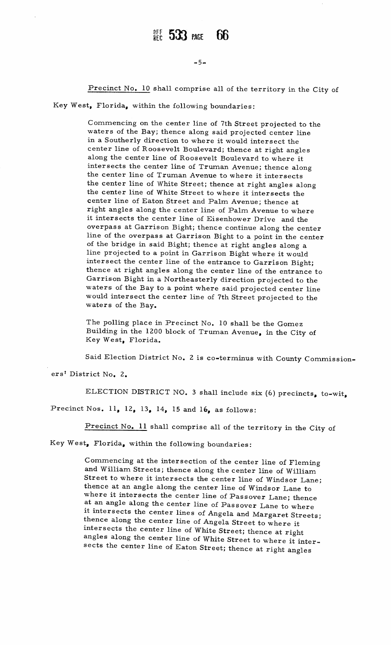-5-<br>Precinct No. 10 shall comprise all of the territory in the City of

Key West, Florida, within the following boundaries:

Commencing on the center line of 7th Street projected to the Commencing on the center line of 7th Street projected to waters of the Bay; thence along said projected center line Commencing on the center line of 7th Street projected to the vaters of the Bay; thence along said projected center line in a Southerly direction to where it would intersect the center line of Roosevelt Boulevard; thence at in a Southerly direction to where it would intersect the<br>center line of Roosevelt Boulevard; thence at right angles<br>along the center line of Roosevelt Boulevard to where it<br>intersects the center line of Truman Avenue; then along the center line of Roosevelt Boulevard to where it along the center line of Roosevelt Boulevard to where it<br>intersects the center line of Truman Avenue; thence alc<br>the center line of Truman Avenue to where it intersects intersects the center line of Truman Avenue; thence along<br>the center line of Truman Avenue to where it intersects<br>the center line of White Street; thence at right angles along the center line of Truman Avenue to where it intersects<br>the center line of White Street; thence at right angles al<br>the center line of Feter Street to where it intersects the the center line of White Street; thence at right angles a<br>the center line of White Street to where it intersects th<br>center line of Eaton Street and Palm Avenue; thence at Interpreted and Palm Avenue; thence at right angles along the center line of Palm Avenue; thence at right angles along the center line of Palm Avenue to where it intersects the center line of Eisenhower Drive and the overn center line of Eaton Street and Palm Avenue; thence at<br>right angles along the center line of Palm Avenue to where<br>it intersects the center line of Eisenhower Drive and the<br>overpass at Garrison Bight; thence continue along line of the overpass at Garrison Bight to a point in the center of the bridge in said Bight; thence at right angles along a  $line$  projected to a overpass at Garrison Bight; thence continue along the centine of the overpass at Garrison Bight to a point in the center of the bridge in said Bight; thence at right angles along a line projected to a point in Garrison Big intersect the center line of the entrance to Garrison Bight;<br>thence at right angles along the center line of the entrance to<br>Garrison Bight in a Northeasterly direction projected to the line projected to a point in Garrison Bight where it would<br>intersect the center line of the entrance to Garrison Bight;<br>thence at right angles along the center line of the entrance t<br>Garrison Bight in a Northeasterly direc of the bridge in said Bight; thence at right angles along a<br>line projected to a point in Garrison Bight where it would<br>intersect the center line of the entrance to Garrison Bight;<br>thence at right angles along the center li waters of the Bay to a point where said projected center line would intersect the center line of 7th Street projected to the waters of the Bay.

The polling place in Precinct No. 10 shall be the Gomez The polling place in Precinct No. 10 shall be the Gomez<br>Building in the 1200 block of Truman Avenue, in the City of<br>Key West, Florida The polling place i<br>Building in the 120<br>Key West, Florida building in the 1200 block of Truman Avenue, in the City of<br>Key West, Florida.<br>Said Election District No. 2 is co-terminus with County Commission The polling place in Precinct No. 10 shall be the Gomez<br>Building in the 1200 block of Truman Avenue, in the City of<br>Key West, Florida.<br>Said Election District No. 2 is co-terminus with County Commissic<br>rict No. 2.<br>ELECTION

Said El<br>ers<sup>†</sup> District No

ELECTION DISTRICT NO. 3 shall include six (6) precincts, to-wit,<br>Nos. 11, 12, 13, 14, 15 and 16, as follows:<br>Precinct No. 11 shall comprise all of the territory in the City of

Precinct Nos. 11, 12, 13, 14, 15 and 16, as follows:

Key West, Florida, within the following boundaries:

Commencing at the intersection of the center line of Fleming Commencing at the intersection of the center line of Flemin<br>and William Streets; thence along the center line of William of the center line of Fleming<br>Commencing at the intersection of the center line of Fleming<br>and William Streets; thence along the center line of William<br>Street to where it intersects the center line of Windsor Lane<br>thence a Street to where it intersects the center line of Windsor Lane;<br>thence at an angle along the center line of Windsor Lane to where it intersects the center line of Passover Lane; thence at an angle along the center line of Passover Lane to where thence at an angle along the center line of Windsor Lane to<br>where it intersects the center line of Passover Lane to where<br>at an angle along the center line of Passover Lane to where<br>it intersects the center line of Angela thence along the center line of Angela Street to where it intersects the center line of White Street; thence at right angles along the center line of White Street to where it intersects the center line of Eaton Street; thence at right angles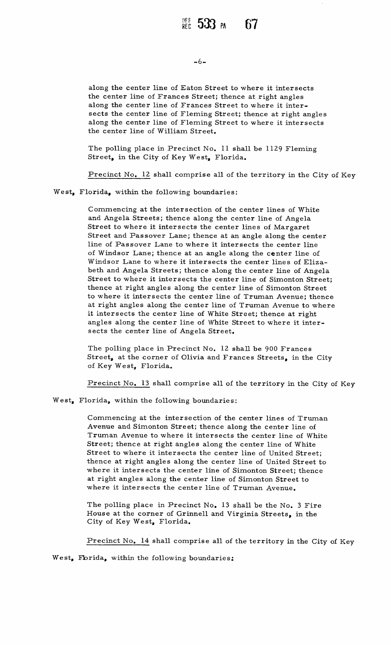-6-<br>along the center line of Eaton Street to where it intersects<br>the center line of Frances Street; thence at right angles along the center line of Eaton Street to where it interse<br>the center line of Frances Street; thence at right angles<br>along the center line of Frances Street to where it inter the center line of Frances Street; thence at right angles along the center line of Frances Street to where it intersects the center line of Fleming Street; thence at right angles ation of Frances Street; thence at right angles<br>along the center line of Frances Street; thence at right angles<br>along the center line of Fleming Street; thence at right angle<br>along the center line of Fleming Street to wher the center line of Frances Street<br>along the center line of Frances<br>sects the center line of Fleming<br>along the center line of Fleming<br>the center line of William Street

of Concern Minim Street<br>The polling place in Precinct No. 11 shall be 1129 Fleming<br>Street in the City of Key West, Florida The polling place in Precinct No. 11 sha<br>Street, in the City of Key West, Florida

Precinct No. 12 shall comprise all of the territory in the City of Key

West, Florida, within the following boundaries:

Commencing at the intersection of the center lines of White Commencing at the intersection of the center lines of White and Angela Streets; thence along the center line of Angela<br>Street to where it intersects the center lines of Manuaut Precinct No. 12 shall comprise all of the territory in the<br>orida, within the following boundaries:<br>Commencing at the intersection of the center lines of Wh<br>and Angela Streets; thence along the center line of Angela<br>Street Street to where it intersects the center lines of Margaret<br>Street and Passover Lane; thence at an angle along the center<br>line of Passover Lane to where it intersects the center line Commencing at the intersection of the center lines of White<br>and Angela Streets; thence along the center line of Angela<br>Street to where it intersects the center lines of Margaret<br>Street and Passover Lane; thence at an angle Street and Passover Lane; thence at an angle along the center<br>line of Passover Lane to where it intersects the center line<br>of Windsor Lane; thence at an angle along the center line of<br>Windsor Lane to where it intersects th of Windsor Lane; thence at an angle along the center line of<br>Windsor Lane to where it intersects the center lines of Eliza-<br>beth and Angela Streets; thence along the center line of Angela<br>Street to releve it intersects the Street to where it intersects the center lines of wargaret<br>Street and Passover Lane; thence at an angle along the center<br>line of Windsor Lane; thence at an angle along the center line of<br>Windsor Lane to where it intersects beth and Angela Streets; thence along the center line of Angels<br>Street to where it intersects the center line of Simonton Street<br>thence at right angles along the center line of Truman Ayenue; then of Windsor Lane; thence at an angle along the center line of<br>Windsor Lane to where it intersects the center lines of Eliza-<br>beth and Angela Streets; thence along the center line of Angela<br>Street to where it intersects the to where it intersects the center line of Truman Avenue; thence<br>at right angles along the center line of Truman Avenue to where<br>it intersects the center line of White Street; thence at right thence at right angles along the center line of Simonton Street at right angles along the center line of Truman Avenue to whit intersects the center line of White Street; thence at right<br>angles along the center line of White Street to where it inter<br>sects the center line of Angola Stre it intersects the center line of White<br>angles along the center line of White<br>sects the center line of Angela Street

The polling place in Precinct No. 12 shall be 900 Frances Street, at the corner of Olivia and Frances Streets, in the City of Key West, Florida.

Precinct No. 13 shall comprise all of the territory in the City of Key

West, Florida, within the following boundaries:

Precinct No. 13 shall comprise all of the territory in the City<br>
orida, within the following boundaries:<br>
Commencing at the intersection of the center lines of Truman<br>
Avenue and Simonton Street; thence along the center li Commencing at the intersection of the center lines of Truman<br>Avenue and Simonton Street; thence along the center line of<br>Truman Avenue to where it intersects the center line of White Avenue and Simonton Street; thence along the center line of Where it intersects the center line of White Street; thence at right angles along the center line of White Truman Avenue to where it intersects the center line of White<br>Street; thence at right angles along the center line of White<br>Street to where it intersects the center line of United Street<br>thence at right angles along the se Street; thence at right angles along the center line of White<br>Street to where it intersects the center line of United Street;<br>thence at right angles along the center line of United Street to<br>mhane it intersects the senter Street to where it intersects the center line of United Street;<br>thence at right angles along the center line of United Street t<br>where it intersects the center line of Simonton Street; thence thence at right angles along the center line of United Stre<br>where it intersects the center line of Simonton Street; the<br>at right angles along the center line of Faumer Are and<br>where it intersects the center line of Faumer where it intersects the center line of Simonton Street; thence<br>at right angles along the center line of Simonton Street to<br>where it intersects the center line of Truman Avenue.<br>The polling place in Precinct No. 13 shall be

The polling place in Precinct No. 13 shall be the No. 3 Fire House at the corner of Grinnell and Virginia Streets, in the City of Key West, Florida.

Precinct No. 14 shall comprise all of the territory in the City of Key

West, Fibrida, within the following boundaries: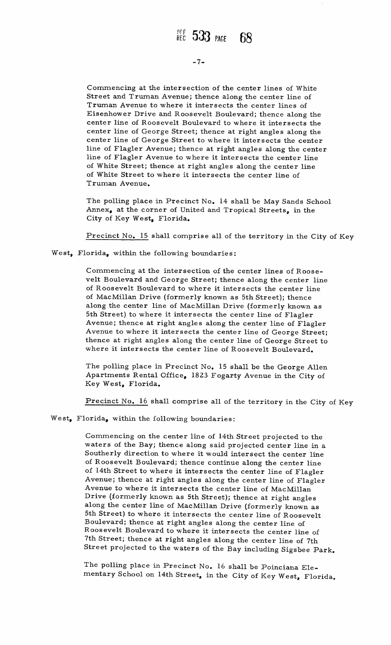Commencing at the intersection of the center lines of White<br>Street and Truman Avenue: thence along the center line of Street and Truman Avenue; thence along the center line of Truman Avenue to where it intersects the center lines of Commencing at the intersection of the center lines of Wh<br>Street and Truman Avenue; thence along the center line of<br>Truman Avenue to where it intersects the center lines of<br>Eisenhower Drive and Roosevelt Boulevard; thence a Truman Avenue to where it intersects the center lines of<br>Eisenhower Drive and Roosevelt Boulevard; thence along the Street and Truman Avenue; thence along the center lines of white<br>Street and Truman Avenue; thence along the center lines of<br>Eisenhower Drive and Roosevelt Boulevard; thence along the<br>center line of Roosevelt Boulevard to w Street and Truman Avenue; thence along the center line of<br>Truman Avenue to where it intersects the center lines of<br>Eisenhower Drive and Roosevelt Boulevard; thence along the<br>center line of George Street; thence at right an I ruman Avenue to where it intersects the center lines of<br>Eisenhower Drive and Roosevelt Boulevard; thence along the<br>center line of George Street; thence at right angles along the<br>center line of George Street to where it i center line of George Street; thence at right angles along the<br>center line of George Street to where it intersects the center<br>line of Flagler Avenue; thence at right angles along the center<br>line of Flagler Avenue to where center line of Roosevelt Boulevard to where it intersects the<br>center line of George Street; thence at right angles along the<br>center line of Flagler Avenue; thence at right angles along the cent<br>line of Flagler Avenue to wh line of Flagler Avenue; thence at right angles along the center line of Flagler Avenue to where it intersects the center line<br>of White Street; thence at right angles along the center line<br>of White Street to where it inters center line of George Street to where it intersects the dine of Flagler Avenue; thence at right angles along the center of White Street; thence at right angles along the center of White Street to where it intersects the ce of White Street to where it intersects the center line of Truman Avenue.

The polling place in Precinct No. 14 shall be May Sands School<br>Annex, at the corner of United and Tropical Streets, in the<br>City of Koy Wost, Elerida Annex, at the corner of United and Tropical Streets, in the City of Key West, Florida.

Precinct No. 15 shall comprise all of the territory in the City of Key

West, Florida, within the following boundaries:

Commencing at the intersection of the center lines of Roose-Commencing at the intersection of the center lines of Roose-<br>velt Boulevard and George Street; thence along the center line<br>of Roosevelt Boulevard to where it intersects the center line Commencing at the intersection of the center lines of Roose<br>velt Boulevard and George Street; thence along the center li<br>of Roosevelt Boulevard to where it intersects the center line<br>of MeaMillan Drive (formearly because a of Roosevelt Boulevard to where it intersects the center line<br>of MacMillan Drive (formerly known as 5th Street); thence along the center line of MacMillan Drive (formerly known as f MacMillan Drive (formerly known as 5th Street); thence<br>long the center line of MacMillan Drive (formerly known<br>th Street) to where it intersects the center line of Flagler 5th Street) to where it intersects the center line of Flagler<br>Avenue; thence at right angles along the center line of Flagler Avenue; thence at right angles along the center line of Flagler<br>Avenue to where it intersects the center line of George Street; Avenue; thence at right angles along the center line of Flagler<br>Avenue to where it intersects the center line of George Street;<br>thence at right angles along the center line of George Street to Avenue to where it intersects the center line of George St.<br>thence at right angles along the center line of George Stre<br>where it intersects the center line of Roosevelt Boulevard

where it intersects the center line of Roosevelt Boulevard.<br>The polling place in Precinct No. 15 shall be the George Allen where it intersects the center line of Roosevelt Boulevard.<br>The polling place in Precinct No. 15 shall be the George Aller<br>Apartments Rental Office, 1823 Fogarty Avenue in the City of<br>Kev West. Florida. Key West, Florida. Apartments Rental Office, 1823 Fogarty Avenue in the City of<br>Key West, Florida.<br><u>Precinct No. 16</u> shall comprise all of the territory in the City of Key

West, Florida, within the following boundaries:

Precinct No. 16 shall comprise all of the territory in the City of Key<br>lorida, within the following boundaries:<br>Commencing on the center line of 14th Street projected to the<br>waters of the Bay; thence along said projected c Commencing on the center line of 14th Street projected to the waters of the Bay; thence along said projected center line in a Southerly direction to where it would intersect the center line. Commencing on the center line of 14th Street projected to the<br>waters of the Bay; thence along said projected center line in a<br>Southerly direction to where it would intersect the center line<br>of Roosevelt Boulevard; thence c orida, within the following boundaries:<br>Commencing on the center line of 14th Street projected to the<br>waters of the Bay; thence along said projected center line in a<br>Southerly direction to where it would intersect the cent waters of the Bay; thence along said projected center line in a<br>Southerly direction to where it would intersect the center line<br>of Roosevelt Boulevard; thence continue along the center line<br>of 14th Street to where it inter Avenue; thence at right angles along the center line of Flagler<br>Avenue to where it intersects the center line of MacMillan  $\bm{\texttt{ Drive}}$ reflace along the center levelt Boulevard; thence continue along the center line of Flag<br>Street to where it intersects the center line of Flag<br>thence at right angles along the center line of Flag<br>to where it intersects the of the Bay, thence along said projected center line if<br>iy direction to where it would intersect the center line<br>sevelt Boulevard; thence continue along the center line<br>Street to where it intersects the center line of Flagl of 14th Street to where it intersects the center line of Flagle<br>Avenue; thence at right angles along the center line of Flagle<br>Avenue to where it intersects the center line of MacMillan<br>Drive (formerly known as 5th Street) bun street) to where it intersects the center line of Roose<br>Boulevard; thence at right angles along the center line of  $\frac{1}{2}$  conter  $\frac{1}{2}$  in the Street) to where  $\begin{array}{c} \text{there is} \ \text{there is} \ \text{there is} \ \text{there is} \ \text{there is} \ \text{conver} \end{array}$ ntersects the center line of MacMillan<br>wn as 5th Street); thence at right angles<br>of MacMillan Drive (formerly known as<br>it intersects the center line of Roosevelt<br>right angles along the center line of **Drive (10)**<br>along the<br>5th Street<br>Boulevard<br>Roosevelt<br>7th Street Roosevelt Boulevard to where it intersects the center line of<br>7th Street; thence at right angles along the center line of 7th long the center line of MacMillan Drive (formerly known as<br>th Street) to where it intersects the center line of Roosevel<br>soulevard; thence at right angles along the center line of<br>coosevelt Boulevard to where it intersects Street projected to the waters of the Bay including Sigsbee Park.

The polling place in Precinct No. 16 shall be Poinciana Elementary School on 14th Street, in the City of Key West, Florida.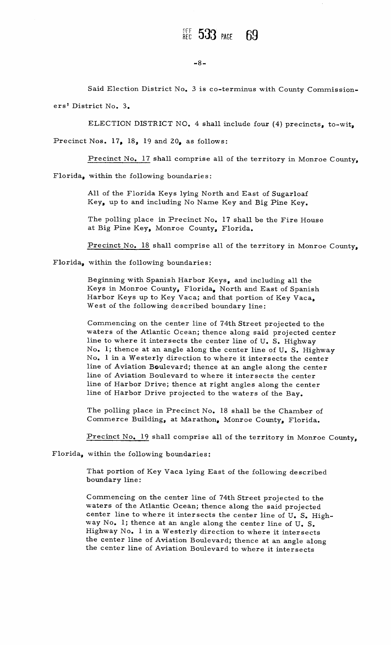$-8-$ <br>Said Election District No. 3 is co-terminus with County Commissioners' District No. 3.

ELECTION DISTRICT NO. 4 shall include four (4) precincts, to-wit, Precinct Nos.  $17_a$  18, 19 and 20, as follows:

Precinct No. 17 shall comprise all of the territory in Monroe County,

Florida, within the following boundaries:

All of the Florida Keys lying North and East of Sugarloaf Key, up to and including No Name Key and Big Pine Key.

Key, up to and including No Name Key and Big Pine Key.<br>The polling place in Precinct No. 17 shall be the Fire House<br>at Big Pine Key, Monroe County, Florida.

at Big Pine Key, Monroe County, Florida.<br>Precinct No. 18 shall comprise all of the territory in Monroe County,

Florida, within the following boundaries:

Beginning with Spanish Harbor Keys, and including all the Beginning with Spanish Harbor Keys, and including all the<br>Keys in Monroe County, Florida, North and East of Spanish Beginning with Spanish Harbor Keys, and including all the<br>Keys in Monroe County, Florida, North and East of Spani<br>Harbor Keys up to Key Vaca; and that portion of Key Vaca<br>West of the following described boundary line: Harbor Keys up to Key Vaca; and that portion of Key Vaca,<br>West of the following described boundary line:<br>Commencing on the center line of 74th Street projected to the<br>waters of the Atlantic Ocean; thence along said project

West of the following described boundary line:<br>
Commencing on the center line of 74th Street projected to the<br>
waters of the Atlantic Ocean; thence along said projected center<br>
line to where it intersects the center line o line to where it intersects the center line of U.S. I<br>No. 1; thence at an angle along the center line of U.<br>No. 1 in a Westerly direction to where it intersects No. 1; thence at an angle along the center line of U.S. Highway.<br>No. 1 in a Westerly direction to where it intersects the center c Ocean;<br>sects the<br>ingle alor<br>direction<br>evard: th r line of 74th Street projected to the<br>
ean; thence along said projected center<br>
i the center line of U. S. Highway<br>
along the center line of U. S. Highway<br>
tion to where it intersects the center  $\lim\mathrm{e\,\, of\,\, }U$ waters of the Atlantic Ocean; thence along said projected cent<br>line to where it intersects the center line of U.S. Highway<br>No. 1; thence at an angle along the center line of U.S. Highw<br>No. 1 in a Westerly direction to wher No. I in a Westerly direction to where it intersects the centine of Aviation Boulevard; thence at an angle along the centine of Aviation Boulevard to where it intersects the center line of Aviation Boulevard to where it intersects the center<br>line of Harbor Drive; thence at right angles along the center line of Harbor Drive projected to the waters of the Bay.

The polling place in Precinct No. 18 shall be the Chamber of Commerce Building, at Marathon, Monroe County, Florida.

Precinct No. 19 shall comprise all of the territory in Monroe County,

Florida, within the following boundaries:

That portion of Key Vaca lying East of the following described boundary line:

boundary line:<br>Commencing on the center line of 74th Street projected to the<br>Waters of the Atlantic Ossan; thenes along the said way in the Commencing on the center line of 74th Street projected to the waters of the Atlantic Ocean; thence along the said projected center line to where it intersects the center line of U.S. Hi waters of the Atlantic Ocean; thence along the said projected<br>center line to where it intersects the center line of U.S. High<br>way No. 1; thence at an angle along the center line of U.S.<br>Highway No. 1 in a Westerly dimentio waters of the Atlantic Ocean; thence along the said projected<br>center line to where it intersects the center line of  $U_{\bullet}$  S. High<br>way No. 1; thence at an angle along the center line of  $U_{\bullet}$  S.<br>Highway No. 1 in a West way No. 1; thence at an angle along the center line of U.S.<br>Highway No. 1 in a Westerly direction to where it intersects<br>the center line of Aviation Boulevard; thence at an angle along<br>the center line of Aviation Boulevard Example 1 intersects the center line of  $\cup$ , S, I<br>way No, 1; thence at an angle along the center line of  $\cup$ , S,<br>Highway No, 1 in a Westerly direction to where it intersect<br>the center line of Aviation Boulevard; thence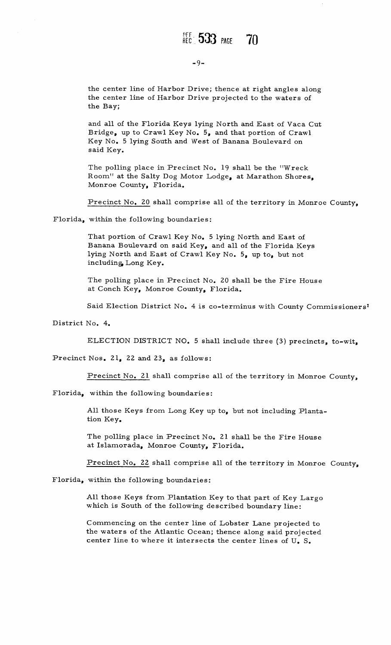## $-9-$

the center line of Harbor Drive; thence at right angles along<br>the center line of Harbor Drive projected to the waters of<br>the Bay; the Bay;

and all of the Florida Keys lying North and East of Vaca Cut and all of the Florida Keys lying North and East of Vaca (<br>Bridge, up to Crawl Key No. 5, and that portion of Crawl<br>Key No. 5 lying South and West of Banana Boulevard on Bridge, up to Crawl Key No. 5, and that portion of Cra<br>Key No. 5 lying South and West of Banana Boulevard on Key No. 5 lying South and West of Banana Boulevard on said Key.

The polling place in Precinct No. 19 shall be the "Wreck The polling place in Precinct No. 19 shall be the "Wreck<br>Room" at the Salty Dog Motor Lodge, at Marathon Shores<br>Monroe County, Florida.

Monroe County, Florida.<br>Precinct No. 20 shall comprise all of the territory in Monroe County,

Florida, within the following boundaries:

That portion of Crawl Key No. 5 lying North and East of That portion of Crawl Key No. 5 lying North and East of<br>Banana Boulevard on said Key, and all of the Florida Keys lying North and East of Crawl Key No. 5, up to, but not including Long Key. That portion of Cra<br>Banana Boulevard<br>lying North and Ea<br>including Long Key

The polling place in Precinct No. 20 shall be the Fire House at Conch Key, Monroe County, Florida.

Said Election District No. 4 is co-terminus with County Commissioners<sup>1</sup>

District No. 4.

ELECTION DISTRICT NO. 5 shall include three (3) precincts, to-wit,

Precinct Nos. 21, 22 and 23, as follows:

Precinct No. 21 shall comprise all of the territory in Monroe County,

 $Florida$ , within the following boundaries:

All those Keys from Long Key up to, but not including Plantation Key.

tion Key.<br>The polling place in Precinct No. 21 shall be the Fire House The polling place in Precinct No. 21 sh:<br>at Islamorada, Monroe County, Florida

at Islamorada, Monroe County, Florida.<br>Precinct No. 22 shall comprise all of the territory in Monroe County,

Florida, within the following boundaries:

All those Keys from Plantation Key to that part of Key Largo All those Keys from Pl<mark>ant</mark>ation Key to that part of Key<br>which is South of the following described boundary line All those Keys from Plantation Key to that part of Key Large<br>which is South of the following described boundary line:<br>Commencing on the center line of Lobster Lane projected to<br>the waters of the Atlantic Ocean; thence alon

Commencing on the center line of Lobster Lane projected to<br>Commencing on the center line of Lobster Lane projected to<br>the waters of the Atlantic Ocean; thence along said projected<br>center line to where it intersects the cen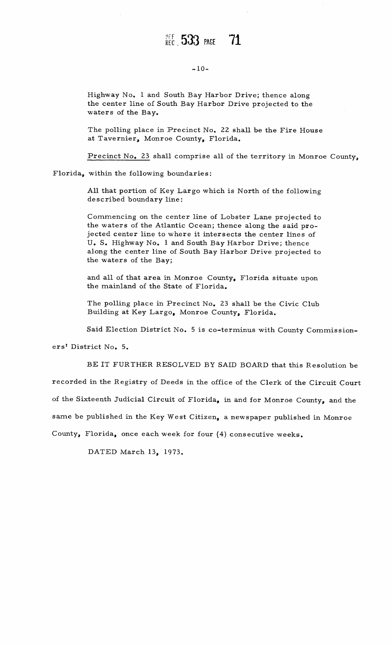# REC 533 PAGE

-10-<br>Highway No. 1 and South Bay Harbor Drive; thence along the center line of South Bay Harbor Drive projected to the waters of the Bay.

The polling place in Precinct No. 22 shall be the Fire House at Tavernier, Monroe County, Florida.

Precinct No. 23 shall comprise all of the territory in Monroe County,

Precinct No. 23 shall comprise<br>Florida, within the following boundaries

within the following boundaries<br>All that portion of Key Largo<br>described boundary line: within the following bou<br>All that portion of Key l<br>described boundary line

All that portion of Key Largo which is North of the following<br>described boundary line:<br>Commencing on the center line of Lobster Lane projected to<br>the waters of the Atlantic Ocean; thence along the said pro-Commencing on the center line of Lobster Lane projected to the waters of the Atlantic Ocean; thence along the said prothe waters of the Atlantic Ocean; thence along the said pro-<br>jected center line to where it intersects the center lines of Commencing on the center line of Lobster Lane projected<br>the waters of the Atlantic Ocean; thence along the said pr<br>jected center line to where it intersects the center lines<br>U. S. Highway No. 1 and South Bay Harbor Drive; U. S. Highway No. 1 and South Bay Harbor Drive; thence along the center line of South Bay Harbor Drive projected to the waters of the Bay;

the waters of the Bay;<br>and all of that area in Monroe County, Florida situate upon<br>the mainland of the State of Florida. the mainland of the State of Florida.<br>The polling place in Precinct No. 23 shall be the Civic Club

Building at Key Largo, Monroe County, Florida. Ine poinng place in Precinct No. 25 shall be the Civic Club<br>Building at Key Largo, Monroe County, Florida.<br>Said Election District No. 5 is co-terminus with County Commission

Building at Key Largo, Monroe County, Florida.<br>Said Election District No. 5 is co-terminus with County Commission-<br>rict No. 5.<br>BE IT FURTHER RESOLVED BY SAID BOARD that this Resolution be<br>in the Besistry of Deals in the ef

ers<sup>t</sup> District No. 5.

BE IT FURTHER RESOLVED BY SAID BOARD that this Resolution be<br>recorded in the Registry of Deeds in the office of the Clerk of the Circuit Court

recorded in the Registry of Deeds in the office of the Clerk of the Circuit Cour<br>of the Sixteenth Judicial Circuit of Florida, in and for Monroe County, and the

or the Sixteenth Judicial Circuit of Florida, in and for Monroe County, and the<br>same be published in the Key West Citizen, a newspaper published in Monroe same be published in the Key West Citizen, a newspaper published<br>County, Florida, once each week for four (4) consecutive weeks

DATED March 13, 1973.